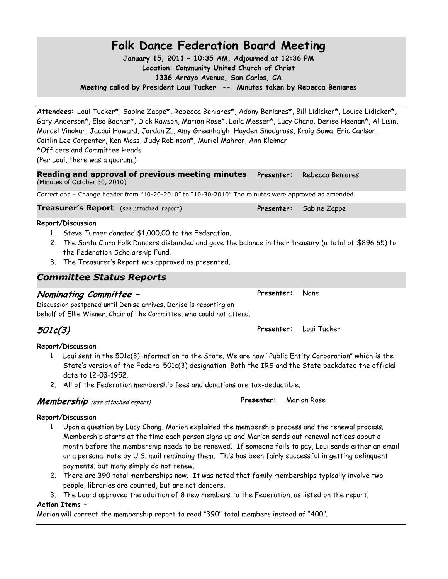## **Folk Dance Federation Board Meeting**

**January 15, 2011 – 10:35 AM, Adjourned at 12:36 PM Location: Community United Church of Christ 1336 Arroyo Avenue, San Carlos, CA**

**Meeting called by President Loui Tucker -- Minutes taken by Rebecca Beniares**

**Attendees:** Loui Tucker\*, Sabine Zappe\*, Rebecca Beniares\*, Adony Beniares\*, Bill Lidicker\*, Louise Lidicker\*, Gary Anderson\*, Elsa Bacher\*, Dick Rawson, Marion Rose\*, Laila Messer\*, Lucy Chang, Denise Heenan\*, Al Lisin, Marcel Vinokur, Jacqui Howard, Jordan Z., Amy Greenhalgh, Hayden Snodgrass, Kraig Sowa, Eric Carlson, Caitlin Lee Carpenter, Ken Moss, Judy Robinson\*, Muriel Mahrer, Ann Kleiman

\*Officers and Committee Heads

(Per Loui, there was a quorum.)

**Reading and approval of previous meeting minutes**  (Minutes of October 30, 2010) **Presenter:** Rebecca Beniares

Corrections – Change header from "10-20-2010" to "10-30-2010" The minutes were approved as amended.

**Treasurer's Report** (see attached report) **Presenter:** Sabine Zappe

### **Report/Discussion**

- 1. Steve Turner donated \$1,000.00 to the Federation.
- 2. The Santa Clara Folk Dancers disbanded and gave the balance in their treasury (a total of \$896.65) to the Federation Scholarship Fund.
- 3. The Treasurer's Report was approved as presented.

## *Committee Status Reports*

## **Nominating Committee –**

Discussion postponed until Denise arrives. Denise is reporting on behalf of Ellie Wiener, Chair of the Committee, who could not attend.

**Presenter:** Loui Tucker

## **Report/Discussion**

- 1. Loui sent in the 501c(3) information to the State. We are now "Public Entity Corporation" which is the State's version of the Federal 501c(3) designation. Both the IRS and the State backdated the official date to 12-03-1952.
- 2. All of the Federation membership fees and donations are tax-deductible.

## **Membership** (see attached report)

### **Report/Discussion**

- 1. Upon a question by Lucy Chang, Marion explained the membership process and the renewal process. Membership starts at the time each person signs up and Marion sends out renewal notices about a month before the membership needs to be renewed. If someone fails to pay, Loui sends either an email or a personal note by U.S. mail reminding them. This has been fairly successful in getting delinquent payments, but many simply do not renew.
- 2. There are 390 total memberships now. It was noted that family memberships typically involve two people, libraries are counted, but are not dancers.
- 3. The board approved the addition of 8 new members to the Federation, as listed on the report.

### **Action Items –**

Marion will correct the membership report to read "390" total members instead of "400".

## **501c(3)**



**Presenter:** Marion Rose

**Presenter:** None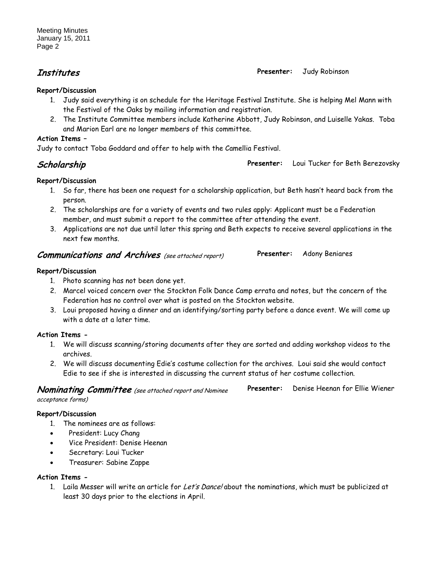## **Institutes Presenter:** Judy Robinson

## **Report/Discussion**

- 1. Judy said everything is on schedule for the Heritage Festival Institute. She is helping Mel Mann with the Festival of the Oaks by mailing information and registration.
- 2. The Institute Committee members include Katherine Abbott, Judy Robinson, and Luiselle Yakas. Toba and Marion Earl are no longer members of this committee.

## **Action Items –**

Judy to contact Toba Goddard and offer to help with the Camellia Festival.

**Scholarship Presenter:** Loui Tucker for Beth Berezovsky

## **Report/Discussion**

- 1. So far, there has been one request for a scholarship application, but Beth hasn't heard back from the person.
- 2. The scholarships are for a variety of events and two rules apply: Applicant must be a Federation member, and must submit a report to the committee after attending the event.
- 3. Applications are not due until later this spring and Beth expects to receive several applications in the next few months.

## **Communications and Archives** (see attached report)

## **Report/Discussion**

- 1. Photo scanning has not been done yet.
- 2. Marcel voiced concern over the Stockton Folk Dance Camp errata and notes, but the concern of the Federation has no control over what is posted on the Stockton website.
- 3. Loui proposed having a dinner and an identifying/sorting party before a dance event. We will come up with a date at a later time.

## **Action Items -**

- 1. We will discuss scanning/storing documents after they are sorted and adding workshop videos to the archives.
- 2. We will discuss documenting Edie's costume collection for the archives. Loui said she would contact Edie to see if she is interested in discussing the current status of her costume collection.

| <b>Nominating Committee</b> (see attached report and Nominee | Presenter: | Denise Heenan for Ellie Wiener |
|--------------------------------------------------------------|------------|--------------------------------|
| acceptance forms)                                            |            |                                |

## **Report/Discussion**

- 1. The nominees are as follows:
- President: Lucy Chang
- Vice President: Denise Heenan
- Secretary: Loui Tucker
- Treasurer: Sabine Zappe

### **Action Items -**

1. Laila Messer will write an article for Let's Dance! about the nominations, which must be publicized at least 30 days prior to the elections in April.

## **Presenter:** Adony Beniares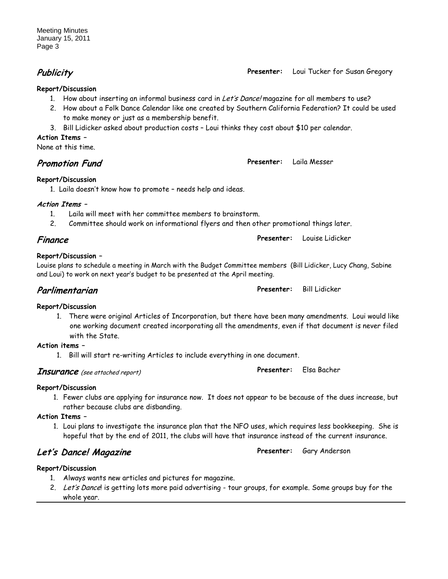**Publicity Presenter:** Loui Tucker for Susan Gregory

## **Report/Discussion**

- 1. How about inserting an informal business card in Let's Dance! magazine for all members to use?
- 2. How about a Folk Dance Calendar like one created by Southern California Federation? It could be used to make money or just as a membership benefit.
- 3. Bill Lidicker asked about production costs Loui thinks they cost about \$10 per calendar.

## **Action Items –**

None at this time.

**Promotion Fund Presenter:** Laila Messer

## **Report/Discussion**

1. Laila doesn't know how to promote – needs help and ideas.

## **Action Items –**

- 1. Laila will meet with her committee members to brainstorm.
- 2. Committee should work on informational flyers and then other promotional things later.

## **Finance Presenter:** Louise Lidicker

## **Report/Discussion –**

Louise plans to schedule a meeting in March with the Budget Committee members (Bill Lidicker, Lucy Chang, Sabine and Loui) to work on next year's budget to be presented at the April meeting.

## **Report/Discussion**

1. There were original Articles of Incorporation, but there have been many amendments. Loui would like one working document created incorporating all the amendments, even if that document is never filed with the State.

## **Action items –**

1. Bill will start re-writing Articles to include everything in one document.

## **Insurance** (see attached report)

## **Report/Discussion**

1. Fewer clubs are applying for insurance now. It does not appear to be because of the dues increase, but rather because clubs are disbanding.

## **Action Items –**

1. Loui plans to investigate the insurance plan that the NFO uses, which requires less bookkeeping. She is hopeful that by the end of 2011, the clubs will have that insurance instead of the current insurance.

## **Let's Dance! Magazine Presenter:** Gary Anderson

## **Report/Discussion**

- 1. Always wants new articles and pictures for magazine.
- 2. Let's Dance! is getting lots more paid advertising tour groups, for example. Some groups buy for the whole year.

**Parlimentarian Presenter:** Bill Lidicker

**Presenter:** Elsa Bacher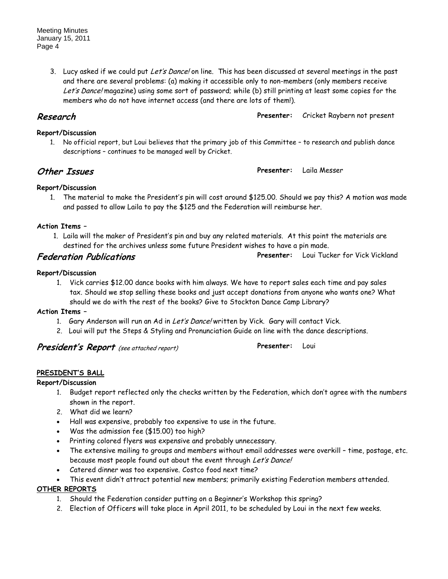Meeting Minutes January 15, 2011 Page 4

> 3. Lucy asked if we could put Let's Dance! on line. This has been discussed at several meetings in the past and there are several problems: (a) making it accessible only to non-members (only members receive Let's Dance! magazine) using some sort of password; while (b) still printing at least some copies for the members who do not have internet access (and there are lots of them!).

**Research Presenter:** Cricket Raybern not present

## 1. No official report, but Loui believes that the primary job of this Committee – to research and publish dance descriptions – continues to be managed well by Cricket.

**Other Issues Presenter:** Laila Messer

**Presenter:** Loui

# **Report/Discussion**

**Report/Discussion**

1. The material to make the President's pin will cost around \$125.00. Should we pay this? A motion was made and passed to allow Laila to pay the \$125 and the Federation will reimburse her.

## **Action Items –**

1. Laila will the maker of President's pin and buy any related materials. At this point the materials are destined for the archives unless some future President wishes to have a pin made.

**Federation Publications Presenter:** Loui Tucker for Vick Vickland

## **Report/Discussion**

1. Vick carries \$12.00 dance books with him always. We have to report sales each time and pay sales tax. Should we stop selling these books and just accept donations from anyone who wants one? What should we do with the rest of the books? Give to Stockton Dance Camp Library?

## **Action Items –**

- 1. Gary Anderson will run an Ad in Let's Dance! written by Vick. Gary will contact Vick.
- 2. Loui will put the Steps & Styling and Pronunciation Guide on line with the dance descriptions.

**President's Report** (see attached report)

## **PRESIDENT'S BALL**

**Report/Discussion**

- 1. Budget report reflected only the checks written by the Federation, which don't agree with the numbers shown in the report.
- 2. What did we learn?
- Hall was expensive, probably too expensive to use in the future.
- Was the admission fee (\$15.00) too high?
- Printing colored flyers was expensive and probably unnecessary.
- The extensive mailing to groups and members without email addresses were overkill time, postage, etc. because most people found out about the event through Let's Dance!
- Catered dinner was too expensive. Costco food next time?
- This event didn't attract potential new members; primarily existing Federation members attended.

## **OTHER REPORTS**

- 1. Should the Federation consider putting on a Beginner's Workshop this spring?
- 2. Election of Officers will take place in April 2011, to be scheduled by Loui in the next few weeks.